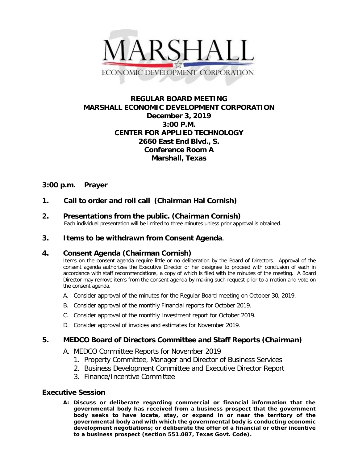

# **REGULAR BOARD MEETING MARSHALL ECONOMIC DEVELOPMENT CORPORATION December 3, 2019 3:00 P.M. CENTER FOR APPLIED TECHNOLOGY 2660 East End Blvd., S. Conference Room A Marshall, Texas**

# **3:00 p.m. Prayer**

# **1. Call to order and roll call (Chairman Hal Cornish)**

# **2. Presentations from the public. (Chairman Cornish)**<br>Each individual presentation will be limited to three minutes unless prior approval is obtained.

## **3. Items to be withdrawn from Consent Agenda.**

### **4. Consent Agenda (Chairman Cornish)**

Items on the consent agenda require little or no deliberation by the Board of Directors. Approval of the consent agenda authorizes the Executive Director or her designee to proceed with conclusion of each in accordance with staff recommendations, a copy of which is filed with the minutes of the meeting. A Board Director may remove items from the consent agenda by making such request prior to a motion and vote on the consent agenda.

- A. Consider approval of the minutes for the Regular Board meeting on October 30, 2019.
- B. Consider approval of the monthly Financial reports for October 2019.
- C. Consider approval of the monthly Investment report for October 2019.
- D. Consider approval of invoices and estimates for November 2019.

### **5. MEDCO Board of Directors Committee and Staff Reports (Chairman)**

- A. MEDCO Committee Reports for November 2019
	- 1. Property Committee, Manager and Director of Business Services
	- 2. Business Development Committee and Executive Director Report
	- 3. Finance/Incentive Committee

### **Executive Session**

**A: Discuss or deliberate regarding commercial or financial information that the governmental body has received from a business prospect that the government body seeks to have locate, stay, or expand in or near the territory of the governmental body and with which the governmental body is conducting economic development negotiations; or deliberate the offer of a financial or other incentive to a business prospect (section 551.087, Texas Govt. Code).**